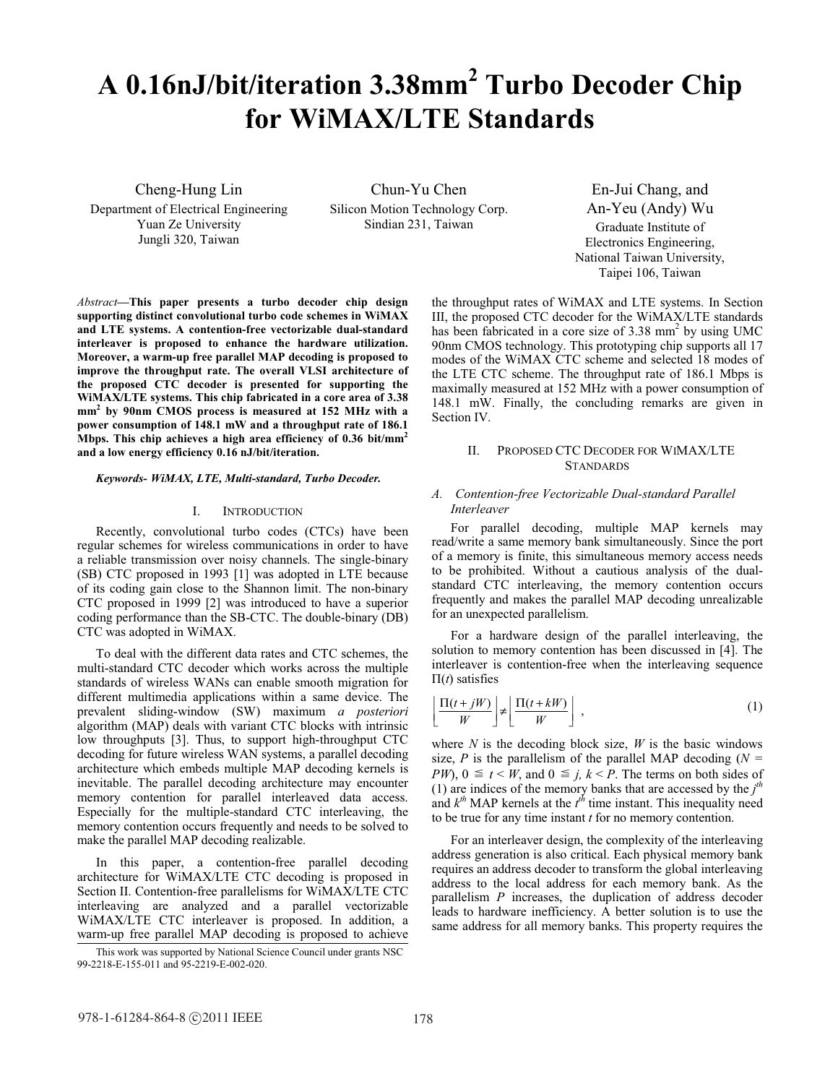# **A 0.16nJ/bit/iteration 3.38mm2 Turbo Decoder Chip for WiMAX/LTE Standards**

Cheng-Hung Lin

Department of Electrical Engineering Yuan Ze University Jungli 320, Taiwan

Chun-Yu Chen Silicon Motion Technology Corp. Sindian 231, Taiwan

En-Jui Chang, and An-Yeu (Andy) Wu Graduate Institute of Electronics Engineering, National Taiwan University, Taipei 106, Taiwan

*Abstract***—This paper presents a turbo decoder chip design supporting distinct convolutional turbo code schemes in WiMAX and LTE systems. A contention-free vectorizable dual-standard interleaver is proposed to enhance the hardware utilization. Moreover, a warm-up free parallel MAP decoding is proposed to improve the throughput rate. The overall VLSI architecture of the proposed CTC decoder is presented for supporting the WiMAX/LTE systems. This chip fabricated in a core area of 3.38 mm2 by 90nm CMOS process is measured at 152 MHz with a power consumption of 148.1 mW and a throughput rate of 186.1 Mbps. This chip achieves a high area efficiency of 0.36 bit/mm2 and a low energy efficiency 0.16 nJ/bit/iteration.**

#### *Keywords- WiMAX, LTE, Multi-standard, Turbo Decoder.*

# I. INTRODUCTION

Recently, convolutional turbo codes (CTCs) have been regular schemes for wireless communications in order to have a reliable transmission over noisy channels. The single-binary (SB) CTC proposed in 1993 [1] was adopted in LTE because of its coding gain close to the Shannon limit. The non-binary CTC proposed in 1999 [2] was introduced to have a superior coding performance than the SB-CTC. The double-binary (DB) CTC was adopted in WiMAX.

To deal with the different data rates and CTC schemes, the multi-standard CTC decoder which works across the multiple standards of wireless WANs can enable smooth migration for different multimedia applications within a same device. The prevalent sliding-window (SW) maximum *a posteriori* algorithm (MAP) deals with variant CTC blocks with intrinsic low throughputs [3]. Thus, to support high-throughput CTC decoding for future wireless WAN systems, a parallel decoding architecture which embeds multiple MAP decoding kernels is inevitable. The parallel decoding architecture may encounter memory contention for parallel interleaved data access. Especially for the multiple-standard CTC interleaving, the memory contention occurs frequently and needs to be solved to make the parallel MAP decoding realizable.

In this paper, a contention-free parallel decoding architecture for WiMAX/LTE CTC decoding is proposed in Section II. Contention-free parallelisms for WiMAX/LTE CTC interleaving are analyzed and a parallel vectorizable WiMAX/LTE CTC interleaver is proposed. In addition, a warm-up free parallel MAP decoding is proposed to achieve the throughput rates of WiMAX and LTE systems. In Section III, the proposed CTC decoder for the WiMAX/LTE standards has been fabricated in a core size of  $3.38 \text{ mm}^2$  by using UMC 90nm CMOS technology. This prototyping chip supports all 17 modes of the WiMAX CTC scheme and selected 18 modes of the LTE CTC scheme. The throughput rate of 186.1 Mbps is maximally measured at 152 MHz with a power consumption of 148.1 mW. Finally, the concluding remarks are given in Section IV.

# II. PROPOSED CTC DECODER FOR WIMAX/LTE **STANDARDS**

# *A. Contention-free Vectorizable Dual-standard Parallel Interleaver*

For parallel decoding, multiple MAP kernels may read/write a same memory bank simultaneously. Since the port of a memory is finite, this simultaneous memory access needs to be prohibited. Without a cautious analysis of the dualstandard CTC interleaving, the memory contention occurs frequently and makes the parallel MAP decoding unrealizable for an unexpected parallelism.

For a hardware design of the parallel interleaving, the solution to memory contention has been discussed in [4]. The interleaver is contention-free when the interleaving sequence  $\Pi(t)$  satisfies

$$
\left\lfloor \frac{\Pi(t+jW)}{W} \right\rfloor \neq \left\lfloor \frac{\Pi(t+kW)}{W} \right\rfloor , \tag{1}
$$

where  $N$  is the decoding block size,  $W$  is the basic windows size, *P* is the parallelism of the parallel MAP decoding (*N = PW*),  $0 \le t < W$ , and  $0 \le j$ ,  $k < P$ . The terms on both sides of (1) are indices of the memory banks that are accessed by the  $j<sup>th</sup>$ and  $k^{th}$  MAP kernels at the  $t^{th}$  time instant. This inequality need to be true for any time instant *t* for no memory contention.

For an interleaver design, the complexity of the interleaving address generation is also critical. Each physical memory bank requires an address decoder to transform the global interleaving address to the local address for each memory bank. As the parallelism *P* increases, the duplication of address decoder leads to hardware inefficiency. A better solution is to use the same address for all memory banks. This property requires the

This work was supported by National Science Council under grants NSC 99-2218-E-155-011 and 95-2219-E-002-020.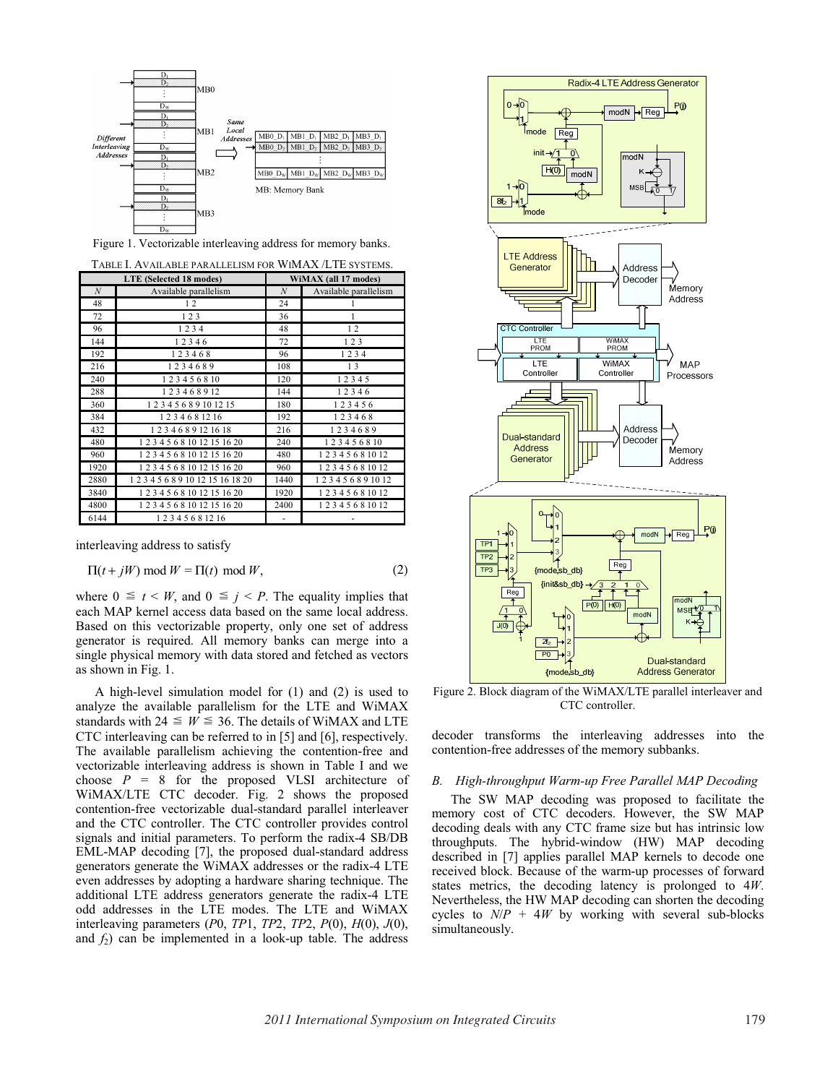

Figure 1. Vectorizable interleaving address for memory banks.

|      | LTE (Selected 18 modes)           | WiMAX (all 17 modes) |                       |  |  |
|------|-----------------------------------|----------------------|-----------------------|--|--|
| N    | Available parallelism             | $\boldsymbol{N}$     | Available parallelism |  |  |
| 48   | 12                                | 24                   |                       |  |  |
| 72   | 123                               | 36                   | 1                     |  |  |
| 96   | 1234                              | 48                   | 12                    |  |  |
| 144  | 12346                             | 72                   | 123                   |  |  |
| 192  | 123468                            | 96                   | 1234                  |  |  |
| 216  | 1234689                           | 108                  | 13                    |  |  |
| 240  | 123456810                         | 120                  | 12345                 |  |  |
| 288  | 123468912                         | 144                  | 12346                 |  |  |
| 360  | 1 2 3 4 5 6 8 9 10 12 15          | 180                  | 123456                |  |  |
| 384  | 1234681216                        | 192                  | 123468                |  |  |
| 432  | 1 2 3 4 6 8 9 12 16 18            | 216                  | 1234689               |  |  |
| 480  | 1 2 3 4 5 6 8 10 12 15 16 20      | 240                  | 123456810             |  |  |
| 960  | 1 2 3 4 5 6 8 10 12 15 16 20      | 480                  | 1 2 3 4 5 6 8 10 12   |  |  |
| 1920 | 1 2 3 4 5 6 8 10 12 15 16 20      | 960                  | 1 2 3 4 5 6 8 10 12   |  |  |
| 2880 | 1 2 3 4 5 6 8 9 10 12 15 16 18 20 | 1440                 | 1 2 3 4 5 6 8 9 10 12 |  |  |
| 3840 | 1 2 3 4 5 6 8 10 12 15 16 20      | 1920                 | 1 2 3 4 5 6 8 10 12   |  |  |
| 4800 | 1 2 3 4 5 6 8 10 12 15 16 20      | 2400                 | 1 2 3 4 5 6 8 10 12   |  |  |
| 6144 | 12345681216                       |                      |                       |  |  |

TABLE I. AVAILABLE PARALLELISM FOR WIMAX /LTE SYSTEMS.

interleaving address to satisfy

$$
\Pi(t+jW) \bmod W = \Pi(t) \bmod W,
$$
 (2)

where  $0 \le t \le W$ , and  $0 \le i \le P$ . The equality implies that each MAP kernel access data based on the same local address. Based on this vectorizable property, only one set of address generator is required. All memory banks can merge into a single physical memory with data stored and fetched as vectors as shown in Fig. 1.

A high-level simulation model for (1) and (2) is used to analyze the available parallelism for the LTE and WiMAX standards with  $24 \leq W \leq 36$ . The details of WiMAX and LTE CTC interleaving can be referred to in [5] and [6], respectively. The available parallelism achieving the contention-free and vectorizable interleaving address is shown in Table I and we choose  $P = 8$  for the proposed VLSI architecture of WiMAX/LTE CTC decoder. Fig. 2 shows the proposed contention-free vectorizable dual-standard parallel interleaver and the CTC controller. The CTC controller provides control signals and initial parameters. To perform the radix-4 SB/DB EML-MAP decoding [7], the proposed dual-standard address generators generate the WiMAX addresses or the radix-4 LTE even addresses by adopting a hardware sharing technique. The additional LTE address generators generate the radix-4 LTE odd addresses in the LTE modes. The LTE and WiMAX interleaving parameters (*P*0, *TP*1, *TP*2, *TP*2, *P*(0), *H*(0), *J*(0), and  $f_2$ ) can be implemented in a look-up table. The address



Figure 2. Block diagram of the WiMAX/LTE parallel interleaver and CTC controller.

decoder transforms the interleaving addresses into the contention-free addresses of the memory subbanks.

#### *B. High-throughput Warm-up Free Parallel MAP Decoding*

The SW MAP decoding was proposed to facilitate the memory cost of CTC decoders. However, the SW MAP decoding deals with any CTC frame size but has intrinsic low throughputs. The hybrid-window (HW) MAP decoding described in [7] applies parallel MAP kernels to decode one received block. Because of the warm-up processes of forward states metrics, the decoding latency is prolonged to 4*W*. Nevertheless, the HW MAP decoding can shorten the decoding cycles to  $N/P + 4W$  by working with several sub-blocks simultaneously.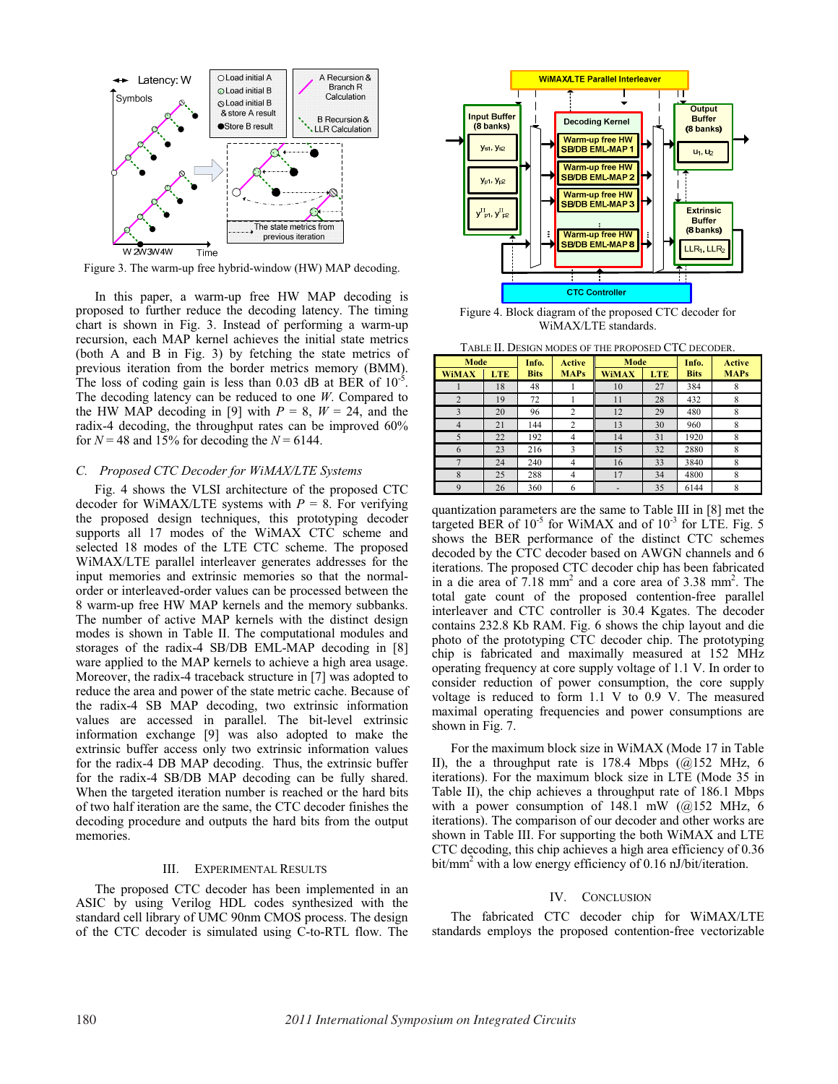

Figure 3. The warm-up free hybrid-window (HW) MAP decoding.

In this paper, a warm-up free HW MAP decoding is proposed to further reduce the decoding latency. The timing chart is shown in Fig. 3. Instead of performing a warm-up recursion, each MAP kernel achieves the initial state metrics (both A and B in Fig. 3) by fetching the state metrics of previous iteration from the border metrics memory (BMM). The loss of coding gain is less than 0.03 dB at BER of  $10^{-5}$ . The decoding latency can be reduced to one *W*. Compared to the HW MAP decoding in [9] with  $P = 8$ ,  $W = 24$ , and the radix-4 decoding, the throughput rates can be improved 60% for  $N = 48$  and 15% for decoding the  $N = 6144$ .

# *C. Proposed CTC Decoder for WiMAX/LTE Systems*

Fig. 4 shows the VLSI architecture of the proposed CTC decoder for WiMAX/LTE systems with  $P = 8$ . For verifying the proposed design techniques, this prototyping decoder supports all 17 modes of the WiMAX CTC scheme and selected 18 modes of the LTE CTC scheme. The proposed WiMAX/LTE parallel interleaver generates addresses for the input memories and extrinsic memories so that the normalorder or interleaved-order values can be processed between the 8 warm-up free HW MAP kernels and the memory subbanks. The number of active MAP kernels with the distinct design modes is shown in Table II. The computational modules and storages of the radix-4 SB/DB EML-MAP decoding in [8] ware applied to the MAP kernels to achieve a high area usage. Moreover, the radix-4 traceback structure in [7] was adopted to reduce the area and power of the state metric cache. Because of the radix-4 SB MAP decoding, two extrinsic information values are accessed in parallel. The bit-level extrinsic information exchange [9] was also adopted to make the extrinsic buffer access only two extrinsic information values for the radix-4 DB MAP decoding. Thus, the extrinsic buffer for the radix-4 SB/DB MAP decoding can be fully shared. When the targeted iteration number is reached or the hard bits of two half iteration are the same, the CTC decoder finishes the decoding procedure and outputs the hard bits from the output memories.

#### III. EXPERIMENTAL RESULTS

The proposed CTC decoder has been implemented in an ASIC by using Verilog HDL codes synthesized with the standard cell library of UMC 90nm CMOS process. The design of the CTC decoder is simulated using C-to-RTL flow. The



Figure 4. Block diagram of the proposed CTC decoder for WiMAX/LTE standards.

TABLE II. DESIGN MODES OF THE PROPOSED CTC DECODER.

| Mode                     |            | <b>Active</b><br>Info. |                | Mode         |            | Info.       | <b>Active</b> |
|--------------------------|------------|------------------------|----------------|--------------|------------|-------------|---------------|
| <b>WiMAX</b>             | <b>LTE</b> | <b>Bits</b>            | <b>MAPs</b>    | <b>WiMAX</b> | <b>LTE</b> | <b>Bits</b> | <b>MAPs</b>   |
|                          | 18         | 48                     |                | 10           | 27         | 384         | 8             |
| $\overline{2}$           | 19         | 72                     |                | 11           | 28         | 432         | 8             |
| 3                        | 20         | 96                     | 2              | 12           | 29         | 480         | 8             |
| 4                        | 21         | 144                    | $\overline{c}$ | 13           | 30         | 960         | 8             |
| $\overline{\phantom{0}}$ | 22         | 192                    | 4              | 14           | 31         | 1920        | 8             |
| 6                        | 23         | 216                    | 3              | 15           | 32         | 2880        | 8             |
|                          | 24         | 240                    | 4              | 16           | 33         | 3840        | 8             |
| 8                        | 25         | 288                    |                | 17           | 34         | 4800        | 8             |
| $\mathbf Q$              | 26         | 360                    | 6              |              | 35         | 6144        | 8             |

quantization parameters are the same to Table III in [8] met the targeted BER of  $10^{-5}$  for WiMAX and of  $10^{-3}$  for LTE. Fig. 5 shows the BER performance of the distinct CTC schemes decoded by the CTC decoder based on AWGN channels and 6 iterations. The proposed CTC decoder chip has been fabricated in a die area of  $7.18 \text{ mm}^2$  and a core area of  $3.38 \text{ mm}^2$ . The total gate count of the proposed contention-free parallel interleaver and CTC controller is 30.4 Kgates. The decoder contains 232.8 Kb RAM. Fig. 6 shows the chip layout and die photo of the prototyping CTC decoder chip. The prototyping chip is fabricated and maximally measured at 152 MHz operating frequency at core supply voltage of 1.1 V. In order to consider reduction of power consumption, the core supply voltage is reduced to form 1.1 V to 0.9 V. The measured maximal operating frequencies and power consumptions are shown in Fig. 7.

For the maximum block size in WiMAX (Mode 17 in Table II), the a throughput rate is 178.4 Mbps  $(Q<sub>152</sub> MHz, 6$ iterations). For the maximum block size in LTE (Mode 35 in Table II), the chip achieves a throughput rate of 186.1 Mbps with a power consumption of  $148.1$  mW ( $@152$  MHz, 6 iterations). The comparison of our decoder and other works are shown in Table III. For supporting the both WiMAX and LTE CTC decoding, this chip achieves a high area efficiency of 0.36 bit/mm<sup>2</sup> with a low energy efficiency of 0.16 nJ/bit/iteration.

### IV. CONCLUSION

The fabricated CTC decoder chip for WiMAX/LTE standards employs the proposed contention-free vectorizable